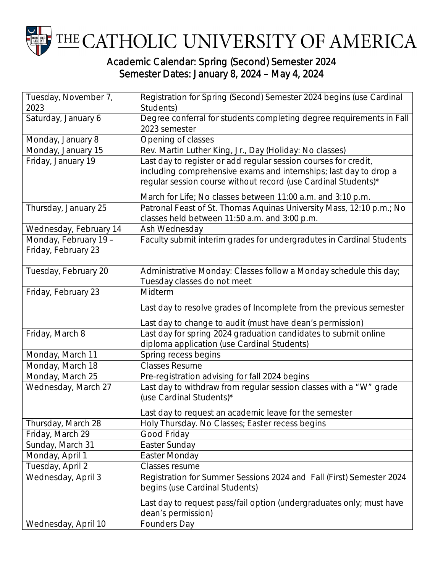

## Semester Dates: January 8, 2024 – May 4, 2024

| Tuesday, November 7,   | Registration for Spring (Second) Semester 2024 begins (use Cardinal  |
|------------------------|----------------------------------------------------------------------|
| 2023                   | Students)                                                            |
| Saturday, January 6    | Degree conferral for students completing degree requirements in Fall |
|                        | 2023 semester                                                        |
| Monday, January 8      | Opening of classes                                                   |
| Monday, January 15     | Rev. Martin Luther King, Jr., Day (Holiday: No classes)              |
| Friday, January 19     | Last day to register or add regular session courses for credit,      |
|                        | including comprehensive exams and internships; last day to drop a    |
|                        | regular session course without record (use Cardinal Students)*       |
|                        | March for Life; No classes between 11:00 a.m. and 3:10 p.m.          |
| Thursday, January 25   | Patronal Feast of St. Thomas Aquinas University Mass, 12:10 p.m.; No |
|                        | classes held between 11:50 a.m. and 3:00 p.m.                        |
| Wednesday, February 14 | Ash Wednesday                                                        |
| Monday, February 19 -  | Faculty submit interim grades for undergradutes in Cardinal Students |
| Friday, February 23    |                                                                      |
|                        |                                                                      |
| Tuesday, February 20   | Administrative Monday: Classes follow a Monday schedule this day;    |
|                        | Tuesday classes do not meet                                          |
| Friday, February 23    | Midterm                                                              |
|                        | Last day to resolve grades of Incomplete from the previous semester  |
|                        | Last day to change to audit (must have dean's permission)            |
| Friday, March 8        | Last day for spring 2024 graduation candidates to submit online      |
|                        | diploma application (use Cardinal Students)                          |
| Monday, March 11       | Spring recess begins                                                 |
| Monday, March 18       | <b>Classes Resume</b>                                                |
| Monday, March 25       | Pre-registration advising for fall 2024 begins                       |
| Wednesday, March 27    | Last day to withdraw from regular session classes with a "W" grade   |
|                        | (use Cardinal Students)*                                             |
|                        | Last day to request an academic leave for the semester               |
| Thursday, March 28     | Holy Thursday. No Classes; Easter recess begins                      |
| Friday, March 29       | Good Friday                                                          |
| Sunday, March 31       | Easter Sunday                                                        |
| Monday, April 1        | <b>Easter Monday</b>                                                 |
| Tuesday, April 2       | Classes resume                                                       |
| Wednesday, April 3     | Registration for Summer Sessions 2024 and Fall (First) Semester 2024 |
|                        | begins (use Cardinal Students)                                       |
|                        | Last day to request pass/fail option (undergraduates only; must have |
|                        | dean's permission)                                                   |
| Wednesday, April 10    | Founders Day                                                         |